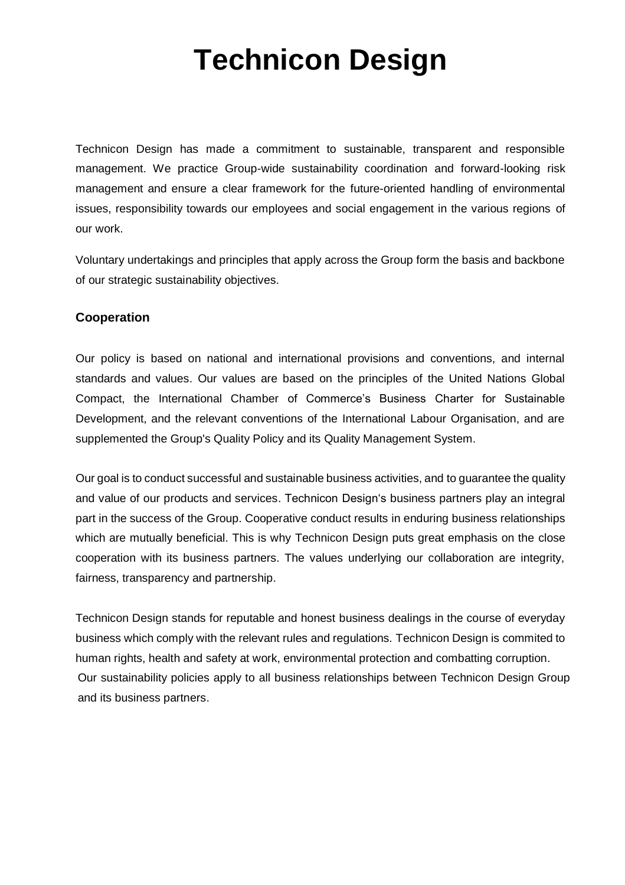# **Technicon Design**

Technicon Design has made a commitment to sustainable, transparent and responsible management. We practice Group-wide sustainability coordination and forward-looking risk management and ensure a clear framework for the future-oriented handling of environmental issues, responsibility towards our employees and social engagement in the various regions of our work.

Voluntary undertakings and principles that apply across the Group form the basis and backbone of our strategic sustainability objectives.

# **Cooperation**

Our policy is based on national and international provisions and conventions, and internal standards and values. Our values are based on the principles of the United Nations Global Compact, the International Chamber of Commerce's Business Charter for Sustainable Development, and the relevant conventions of the International Labour Organisation, and are supplemented the Group's Quality Policy and its Quality Management System.

Our goal is to conduct successful and sustainable business activities, and to guarantee the quality and value of our products and services. Technicon Design's business partners play an integral part in the success of the Group. Cooperative conduct results in enduring business relationships which are mutually beneficial. This is why Technicon Design puts great emphasis on the close cooperation with its business partners. The values underlying our collaboration are integrity, fairness, transparency and partnership.

Technicon Design stands for reputable and honest business dealings in the course of everyday business which comply with the relevant rules and regulations. Technicon Design is commited to human rights, health and safety at work, environmental protection and combatting corruption. Our sustainability policies apply to all business relationships between Technicon Design Group and its business partners.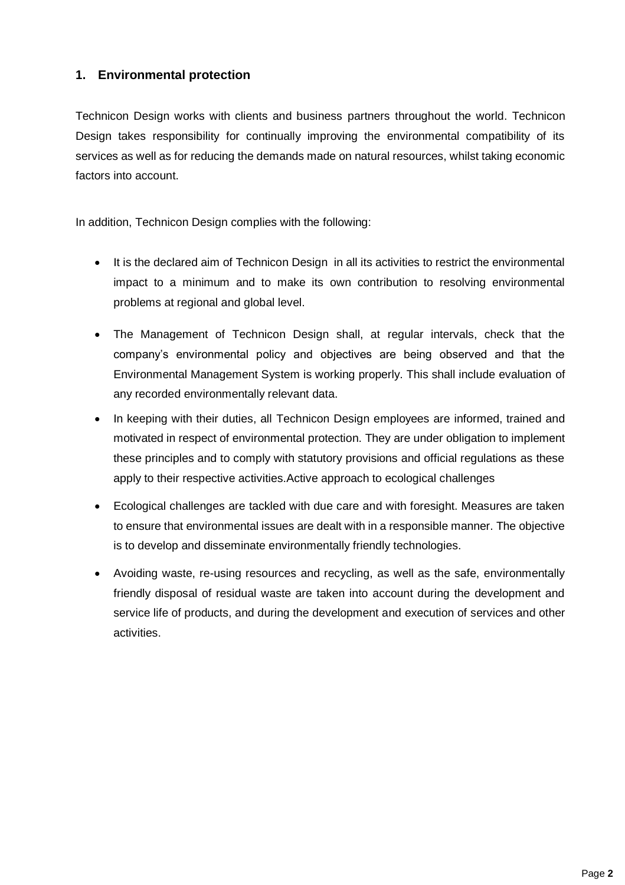# **1. Environmental protection**

Technicon Design works with clients and business partners throughout the world. Technicon Design takes responsibility for continually improving the environmental compatibility of its services as well as for reducing the demands made on natural resources, whilst taking economic factors into account.

In addition, Technicon Design complies with the following:

- It is the declared aim of Technicon Design in all its activities to restrict the environmental impact to a minimum and to make its own contribution to resolving environmental problems at regional and global level.
- The Management of Technicon Design shall, at regular intervals, check that the company's environmental policy and objectives are being observed and that the Environmental Management System is working properly. This shall include evaluation of any recorded environmentally relevant data.
- In keeping with their duties, all Technicon Design employees are informed, trained and motivated in respect of environmental protection. They are under obligation to implement these principles and to comply with statutory provisions and official regulations as these apply to their respective activities.Active approach to ecological challenges
- Ecological challenges are tackled with due care and with foresight. Measures are taken to ensure that environmental issues are dealt with in a responsible manner. The objective is to develop and disseminate environmentally friendly technologies.
- Avoiding waste, re-using resources and recycling, as well as the safe, environmentally friendly disposal of residual waste are taken into account during the development and service life of products, and during the development and execution of services and other activities.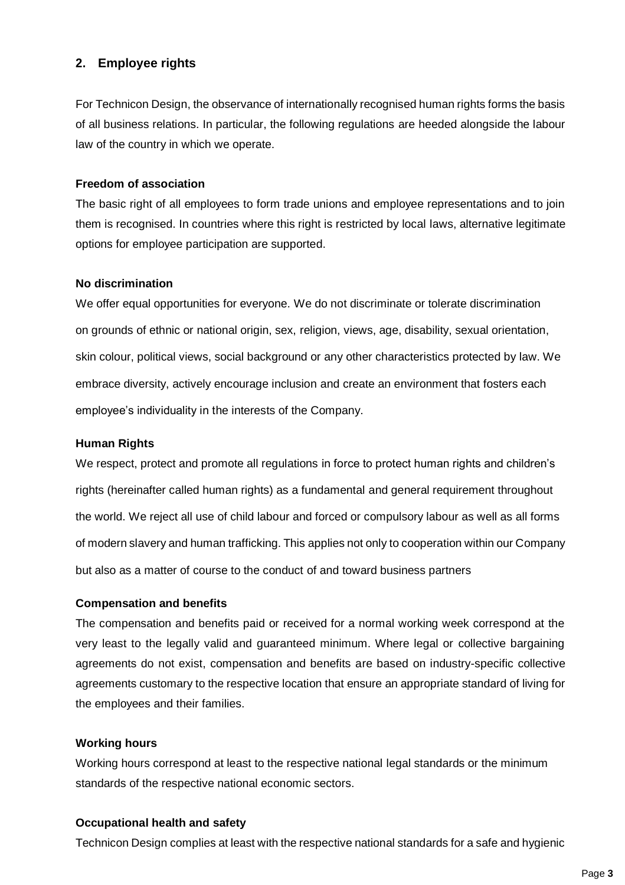# **2. Employee rights**

For Technicon Design, the observance of internationally recognised human rights forms the basis of all business relations. In particular, the following regulations are heeded alongside the labour law of the country in which we operate.

## **Freedom of association**

The basic right of all employees to form trade unions and employee representations and to join them is recognised. In countries where this right is restricted by local laws, alternative legitimate options for employee participation are supported.

## **No discrimination**

We offer equal opportunities for everyone. We do not discriminate or tolerate discrimination on grounds of ethnic or national origin, sex, religion, views, age, disability, sexual orientation, skin colour, political views, social background or any other characteristics protected by law. We embrace diversity, actively encourage inclusion and create an environment that fosters each employee's individuality in the interests of the Company.

# **Human Rights**

We respect, protect and promote all regulations in force to protect human rights and children's rights (hereinafter called human rights) as a fundamental and general requirement throughout the world. We reject all use of child labour and forced or compulsory labour as well as all forms of modern slavery and human trafficking. This applies not only to cooperation within our Company but also as a matter of course to the conduct of and toward business partners

# **Compensation and benefits**

The compensation and benefits paid or received for a normal working week correspond at the very least to the legally valid and guaranteed minimum. Where legal or collective bargaining agreements do not exist, compensation and benefits are based on industry-specific collective agreements customary to the respective location that ensure an appropriate standard of living for the employees and their families.

# **Working hours**

Working hours correspond at least to the respective national legal standards or the minimum standards of the respective national economic sectors.

#### **Occupational health and safety**

Technicon Design complies at least with the respective national standards for a safe and hygienic